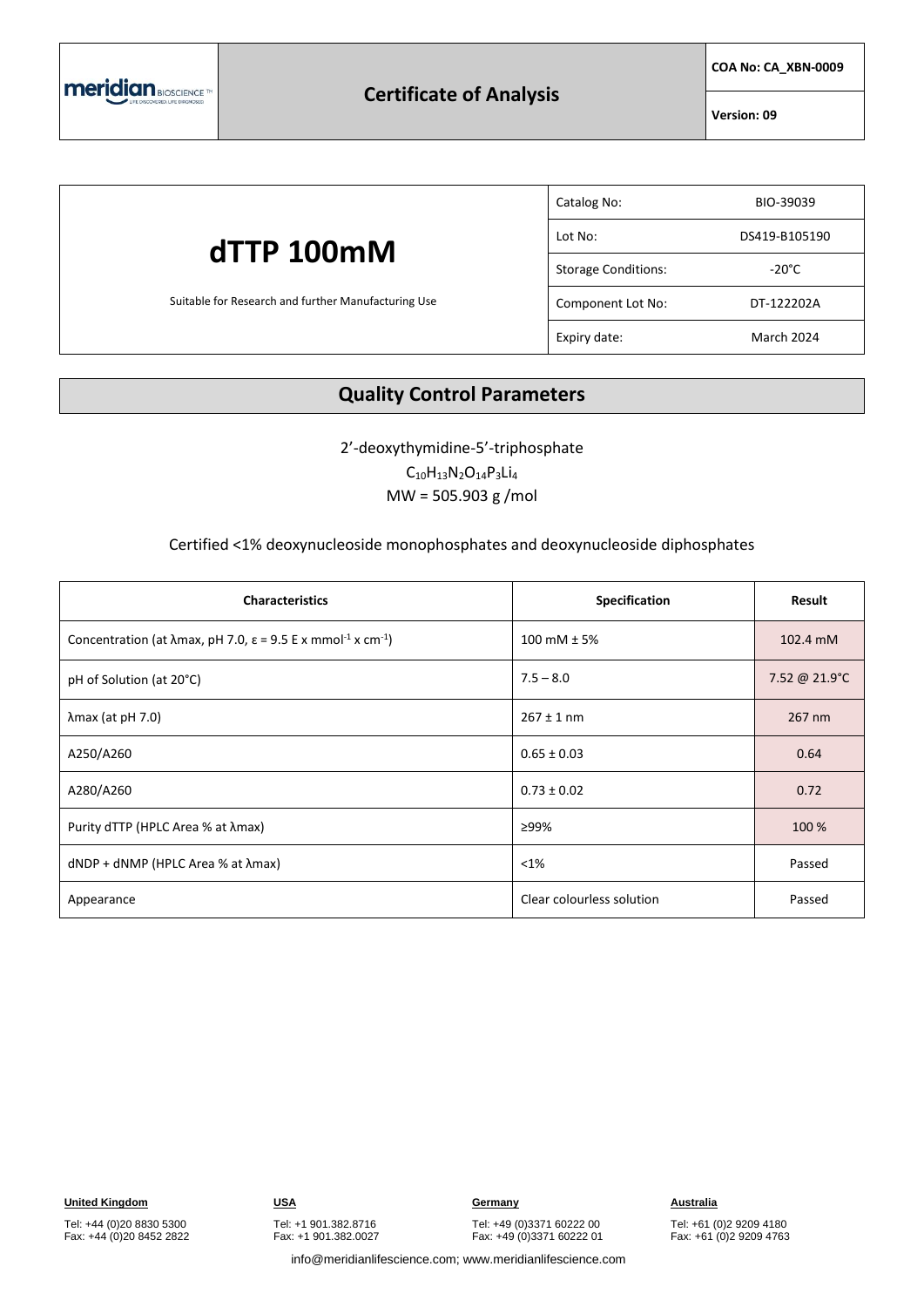

### **Certificate of Analysis**

**COA No: CA\_XBN-0009**

**Version: 09**

## **dTTP 100mM** Suitable for Research and further Manufacturing Use Catalog No: BIO-39039 Lot No: DS419-B105190 Storage Conditions: The Storage Conditions: Component Lot No: DT-122202A Expiry date: March 2024

### **Quality Control Parameters**

2'-deoxythymidine-5'-triphosphate  $C_{10}H_{13}N_{2}O_{14}P_{3}Li_{4}$ 

MW = 505.903 g /mol

#### Certified <1% deoxynucleoside monophosphates and deoxynucleoside diphosphates

| <b>Characteristics</b>                                                                                   | Specification             | Result        |
|----------------------------------------------------------------------------------------------------------|---------------------------|---------------|
| Concentration (at $\lambda$ max, pH 7.0, $\varepsilon$ = 9.5 E x mmol <sup>-1</sup> x cm <sup>-1</sup> ) | 100 mM $± 5%$             | 102.4 mM      |
| pH of Solution (at 20°C)                                                                                 | $7.5 - 8.0$               | 7.52 @ 21.9°C |
| $\lambda$ max (at pH 7.0)                                                                                | $267 \pm 1$ nm            | 267 nm        |
| A250/A260                                                                                                | $0.65 \pm 0.03$           | 0.64          |
| A280/A260                                                                                                | $0.73 \pm 0.02$           | 0.72          |
| Purity dTTP (HPLC Area % at λmax)                                                                        | ≥99%                      | 100 %         |
| $dNDP + dNMP$ (HPLC Area % at $\lambda$ max)                                                             | $< 1\%$                   | Passed        |
| Appearance                                                                                               | Clear colourless solution | Passed        |

Tel: +44 (0)20 8830 5300 Fax: +44 (0)20 8452 2822 Tel: +1 901.382.8716 Fax: +1 901.382.0027

Tel: +49 (0)3371 60222 00 Fax: +49 (0)3371 60222 01

Tel: +61 (0)2 9209 4180 Fax: +61 (0)2 9209 4763